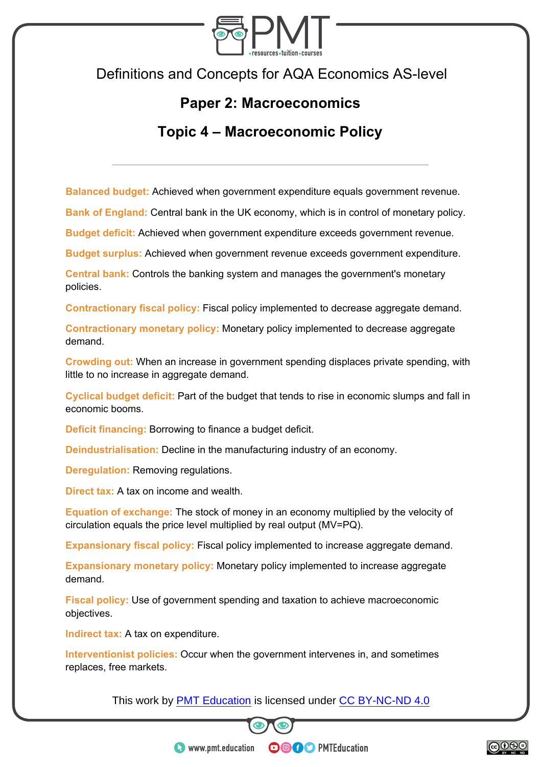

Definitions and Concepts for AQA Economics AS-level

## **Paper 2: Macroeconomics**

## **Topic 4 – Macroeconomic Policy**

**Balanced budget:** Achieved when government expenditure equals government revenue.

**Bank of England:** Central bank in the UK economy, which is in control of monetary policy.

**Budget deficit:** Achieved when government expenditure exceeds government revenue.

**Budget surplus:** Achieved when government revenue exceeds government expenditure.

**Central bank:** Controls the banking system and manages the government's monetary policies.

**Contractionary fiscal policy:** Fiscal policy implemented to decrease aggregate demand.

**Contractionary monetary policy:** Monetary policy implemented to decrease aggregate demand.

**Crowding out:** When an increase in government spending displaces private spending, with little to no increase in aggregate demand.

**Cyclical budget deficit:** Part of the budget that tends to rise in economic slumps and fall in economic booms.

**Deficit financing:** Borrowing to finance a budget deficit.

**Deindustrialisation:** Decline in the manufacturing industry of an economy.

**Deregulation: Removing regulations.** 

**Direct tax:** A tax on income and wealth.

**Equation of exchange:** The stock of money in an economy multiplied by the velocity of circulation equals the price level multiplied by real output (MV=PQ).

**Expansionary fiscal policy:** Fiscal policy implemented to increase aggregate demand.

**Expansionary monetary policy:** Monetary policy implemented to increase aggregate demand.

**Fiscal policy:** Use of government spending and taxation to achieve macroeconomic objectives.

**Indirect tax:** A tax on expenditure.

**Interventionist policies:** Occur when the government intervenes in, and sometimes replaces, free markets.

This work by **PMT Education** is licensed under CC BY-NC-ND 4.0



**OOOO** PMTEducation